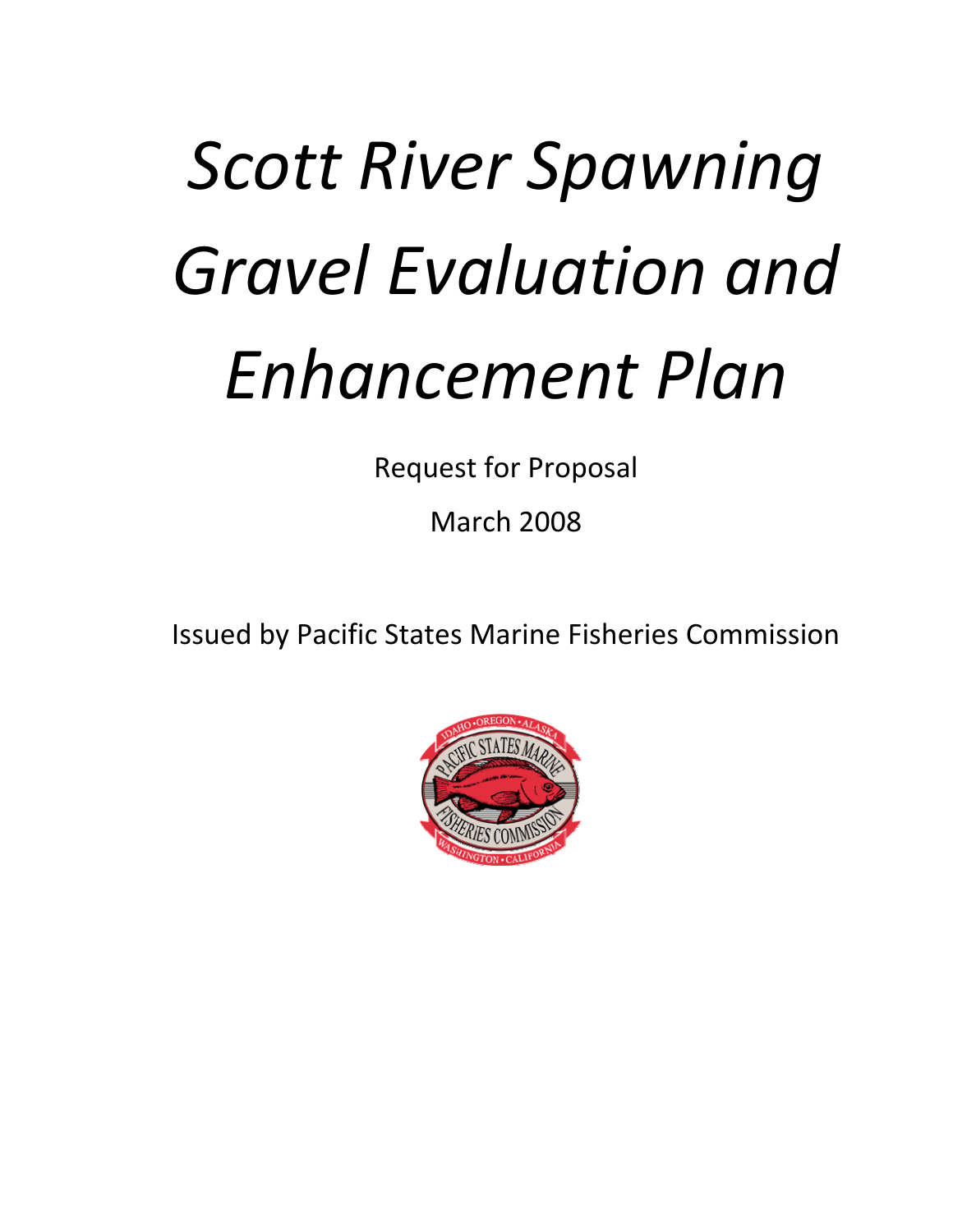# *(b) Scott River Spawning Gravel Evaluation and Enhancement Plan*

Request for Proposal

March 2008

Issued by Pacific States Marine Fisheries Commission

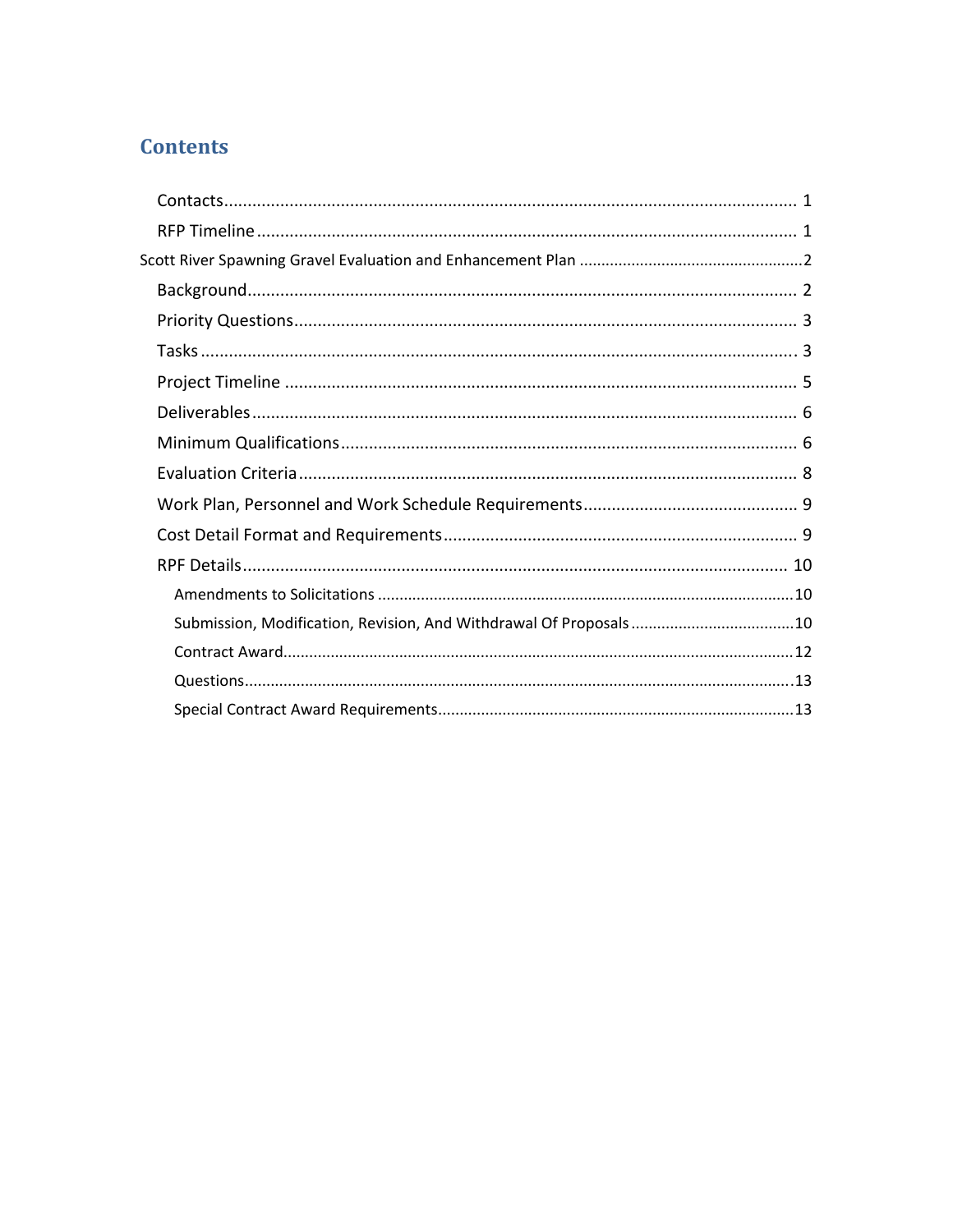## **Contents**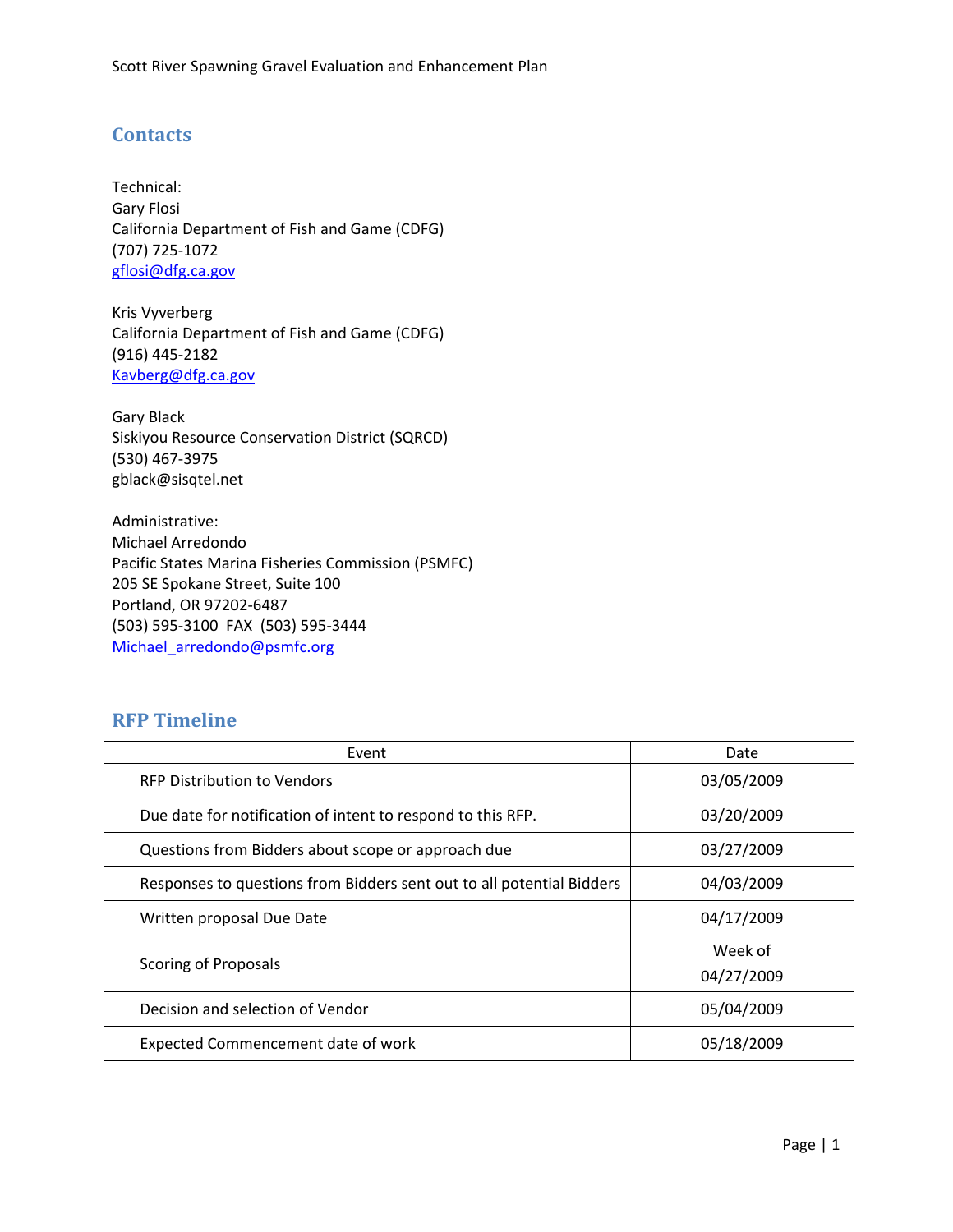## <span id="page-2-0"></span>**Contacts**

Technical: Gary Flosi California Department of Fish and Game (CDFG) (707) 725‐1072 [gflosi@dfg.ca.gov](mailto:gflosi@dfg.ca.gov)

Kris Vyverberg California Department of Fish and Game (CDFG) (916) 445‐2182 [Kavberg@dfg.ca.gov](mailto:Kvyverberg@dfg.ca.gov)

Gary Black Siskiyou Resource Conservation District (SQRCD) (530) 467‐3975 gblack@sisqtel.net

Administrative: Michael Arredondo Pacific States Marina Fisheries Commission (PSMFC) 205 SE Spokane Street, Suite 100 Portland, OR 97202‐6487 (503) 595‐3100 FAX (503) 595‐3444 [Michael\\_arredondo@psmfc.org](mailto:Michael_arredondo@psmfc.org)

## **RFP Timeline**

| Event                                                                 | Date                  |
|-----------------------------------------------------------------------|-----------------------|
| <b>RFP Distribution to Vendors</b>                                    | 03/05/2009            |
| Due date for notification of intent to respond to this RFP.           | 03/20/2009            |
| Questions from Bidders about scope or approach due                    | 03/27/2009            |
| Responses to questions from Bidders sent out to all potential Bidders | 04/03/2009            |
| Written proposal Due Date                                             | 04/17/2009            |
| Scoring of Proposals                                                  | Week of<br>04/27/2009 |
| Decision and selection of Vendor                                      | 05/04/2009            |
| Expected Commencement date of work                                    | 05/18/2009            |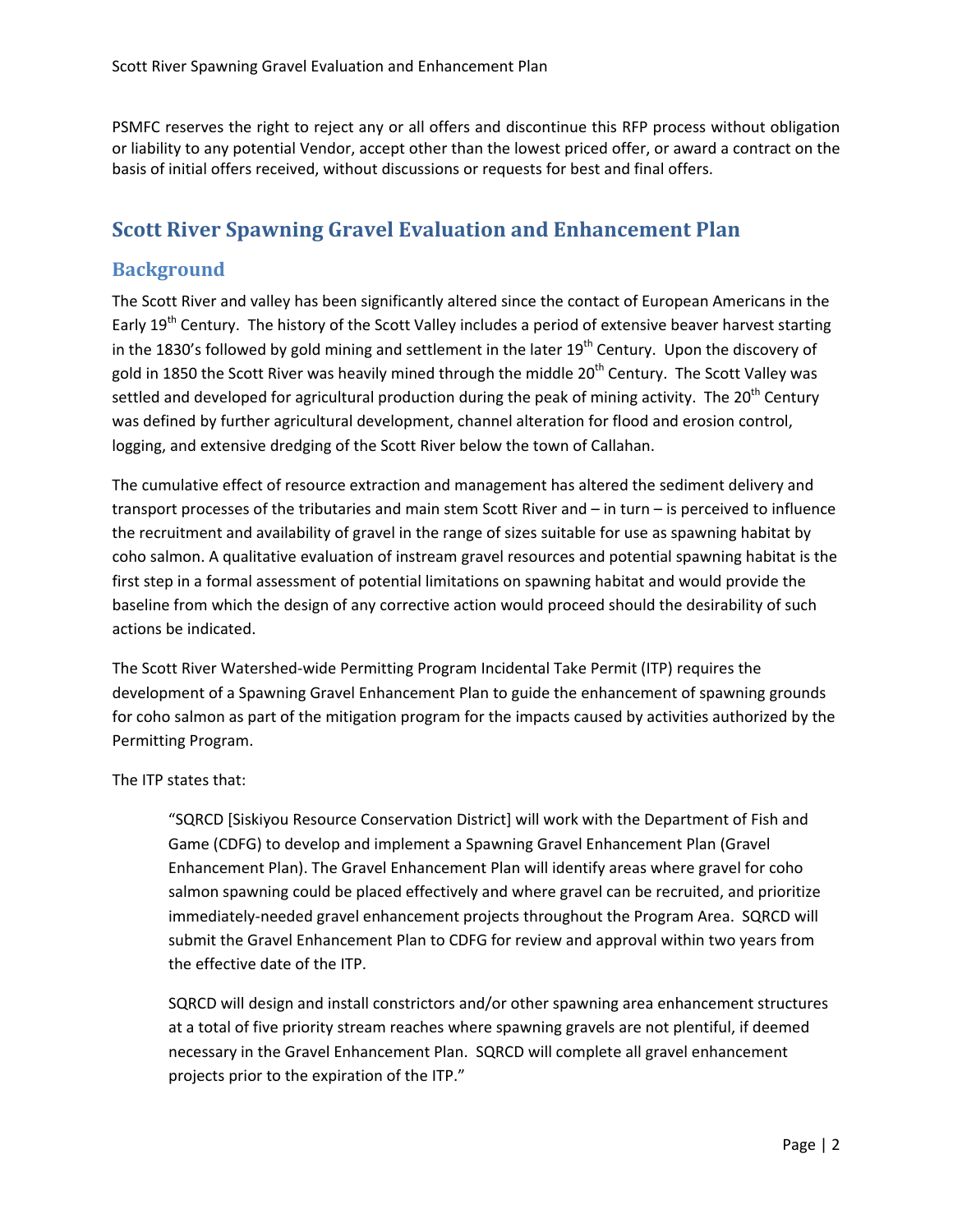<span id="page-3-0"></span>PSMFC reserves the right to reject any or all offers and discontinue this RFP process without obligation or liability to any potential Vendor, accept other than the lowest priced offer, or award a contract on the basis of initial offers received, without discussions or requests for best and final offers.

## **Scott River Spawning Gravel Evaluation and Enhancement Plan**

## **Background**

The Scott River and valley has been significantly altered since the contact of European Americans in the Early 19<sup>th</sup> Century. The history of the Scott Valley includes a period of extensive beaver harvest starting in the 1830's followed by gold mining and settlement in the later  $19<sup>th</sup>$  Century. Upon the discovery of gold in 1850 the Scott River was heavily mined through the middle 20<sup>th</sup> Century. The Scott Valley was settled and developed for agricultural production during the peak of mining activity. The 20<sup>th</sup> Century was defined by further agricultural development, channel alteration for flood and erosion control, logging, and extensive dredging of the Scott River below the town of Callahan.

The cumulative effect of resource extraction and management has altered the sediment delivery and transport processes of the tributaries and main stem Scott River and – in turn – is perceived to influence the recruitment and availability of gravel in the range of sizes suitable for use as spawning habitat by coho salmon. A qualitative evaluation of instream gravel resources and potential spawning habitat is the first step in a formal assessment of potential limitations on spawning habitat and would provide the baseline from which the design of any corrective action would proceed should the desirability of such actions be indicated.

The Scott River Watershed‐wide Permitting Program Incidental Take Permit (ITP) requires the development of a Spawning Gravel Enhancement Plan to guide the enhancement of spawning grounds for coho salmon as part of the mitigation program for the impacts caused by activities authorized by the Permitting Program.

The ITP states that:

"SQRCD [Siskiyou Resource Conservation District] will work with the Department of Fish and Game (CDFG) to develop and implement a Spawning Gravel Enhancement Plan (Gravel Enhancement Plan). The Gravel Enhancement Plan will identify areas where gravel for coho salmon spawning could be placed effectively and where gravel can be recruited, and prioritize immediately‐needed gravel enhancement projects throughout the Program Area. SQRCD will submit the Gravel Enhancement Plan to CDFG for review and approval within two years from the effective date of the ITP.

SQRCD will design and install constrictors and/or other spawning area enhancement structures at a total of five priority stream reaches where spawning gravels are not plentiful, if deemed necessary in the Gravel Enhancement Plan. SQRCD will complete all gravel enhancement projects prior to the expiration of the ITP."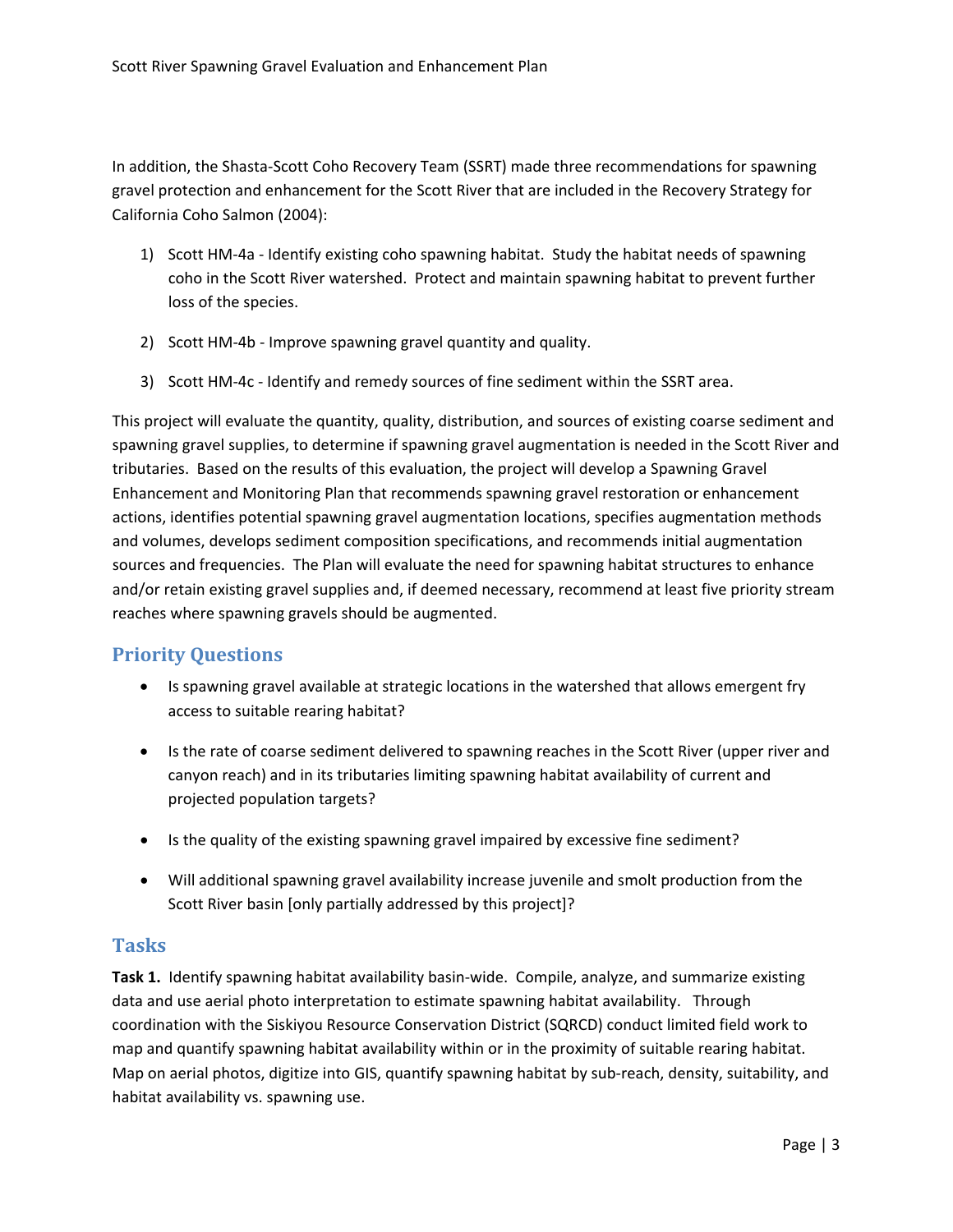<span id="page-4-0"></span>In addition, the Shasta‐Scott Coho Recovery Team (SSRT) made three recommendations for spawning gravel protection and enhancement for the Scott River that are included in the Recovery Strategy for California Coho Salmon (2004):

- 1) Scott HM‐4a ‐ Identify existing coho spawning habitat. Study the habitat needs of spawning coho in the Scott River watershed. Protect and maintain spawning habitat to prevent further loss of the species.
- 2) Scott HM‐4b ‐ Improve spawning gravel quantity and quality.
- 3) Scott HM‐4c ‐ Identify and remedy sources of fine sediment within the SSRT area.

This project will evaluate the quantity, quality, distribution, and sources of existing coarse sediment and spawning gravel supplies, to determine if spawning gravel augmentation is needed in the Scott River and tributaries. Based on the results of this evaluation, the project will develop a Spawning Gravel Enhancement and Monitoring Plan that recommends spawning gravel restoration or enhancement actions, identifies potential spawning gravel augmentation locations, specifies augmentation methods and volumes, develops sediment composition specifications, and recommends initial augmentation sources and frequencies. The Plan will evaluate the need for spawning habitat structures to enhance and/or retain existing gravel supplies and, if deemed necessary, recommend at least five priority stream reaches where spawning gravels should be augmented.

## **Priority Questions**

- Is spawning gravel available at strategic locations in the watershed that allows emergent fry access to suitable rearing habitat?
- Is the rate of coarse sediment delivered to spawning reaches in the Scott River (upper river and canyon reach) and in its tributaries limiting spawning habitat availability of current and projected population targets?
- Is the quality of the existing spawning gravel impaired by excessive fine sediment?
- Will additional spawning gravel availability increase juvenile and smolt production from the Scott River basin [only partially addressed by this project]?

## **Tasks**

**Task 1.** Identify spawning habitat availability basin-wide. Compile, analyze, and summarize existing data and use aerial photo interpretation to estimate spawning habitat availability. Through coordination with the Siskiyou Resource Conservation District (SQRCD) conduct limited field work to map and quantify spawning habitat availability within or in the proximity of suitable rearing habitat. Map on aerial photos, digitize into GIS, quantify spawning habitat by sub-reach, density, suitability, and habitat availability vs. spawning use.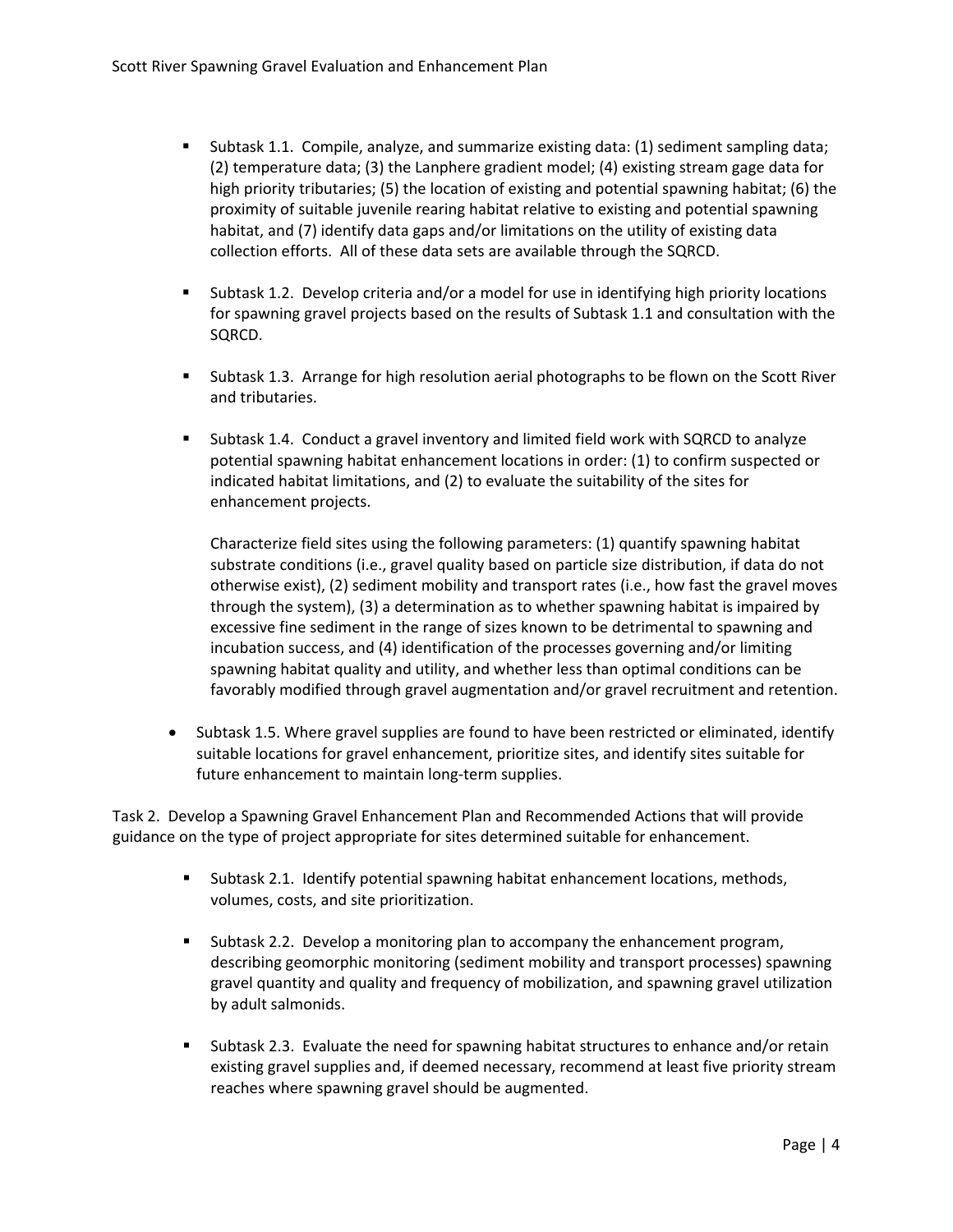- Subtask 1.1. Compile, analyze, and summarize existing data: (1) sediment sampling data; (2) temperature data; (3) the Lanphere gradient model; (4) existing stream gage data for high priority tributaries; (5) the location of existing and potential spawning habitat; (6) the proximity of suitable juvenile rearing habitat relative to existing and potential spawning habitat, and (7) identify data gaps and/or limitations on the utility of existing data collection efforts. All of these data sets are available through the SQRCD.
- Subtask 1.2. Develop criteria and/or a model for use in identifying high priority locations for spawning gravel projects based on the results of Subtask 1.1 and consultation with the SQRCD.
- **Subtask 1.3. Arrange for high resolution aerial photographs to be flown on the Scott River** and tributaries.
- Subtask 1.4. Conduct a gravel inventory and limited field work with SQRCD to analyze potential spawning habitat enhancement locations in order: (1) to confirm suspected or indicated habitat limitations, and (2) to evaluate the suitability of the sites for enhancement projects.

Characterize field sites using the following parameters: (1) quantify spawning habitat substrate conditions (i.e., gravel quality based on particle size distribution, if data do not otherwise exist), (2) sediment mobility and transport rates (i.e., how fast the gravel moves through the system), (3) a determination as to whether spawning habitat is impaired by excessive fine sediment in the range of sizes known to be detrimental to spawning and incubation success, and (4) identification of the processes governing and/or limiting spawning habitat quality and utility, and whether less than optimal conditions can be favorably modified through gravel augmentation and/or gravel recruitment and retention.

• Subtask 1.5. Where gravel supplies are found to have been restricted or eliminated, identify suitable locations for gravel enhancement, prioritize sites, and identify sites suitable for future enhancement to maintain long‐term supplies.

Task 2. Develop a Spawning Gravel Enhancement Plan and Recommended Actions that will provide guidance on the type of project appropriate for sites determined suitable for enhancement.

- Subtask 2.1. Identify potential spawning habitat enhancement locations, methods, volumes, costs, and site prioritization.
- Subtask 2.2. Develop a monitoring plan to accompany the enhancement program, describing geomorphic monitoring (sediment mobility and transport processes) spawning gravel quantity and quality and frequency of mobilization, and spawning gravel utilization by adult salmonids.
- Subtask 2.3. Evaluate the need for spawning habitat structures to enhance and/or retain existing gravel supplies and, if deemed necessary, recommend at least five priority stream reaches where spawning gravel should be augmented.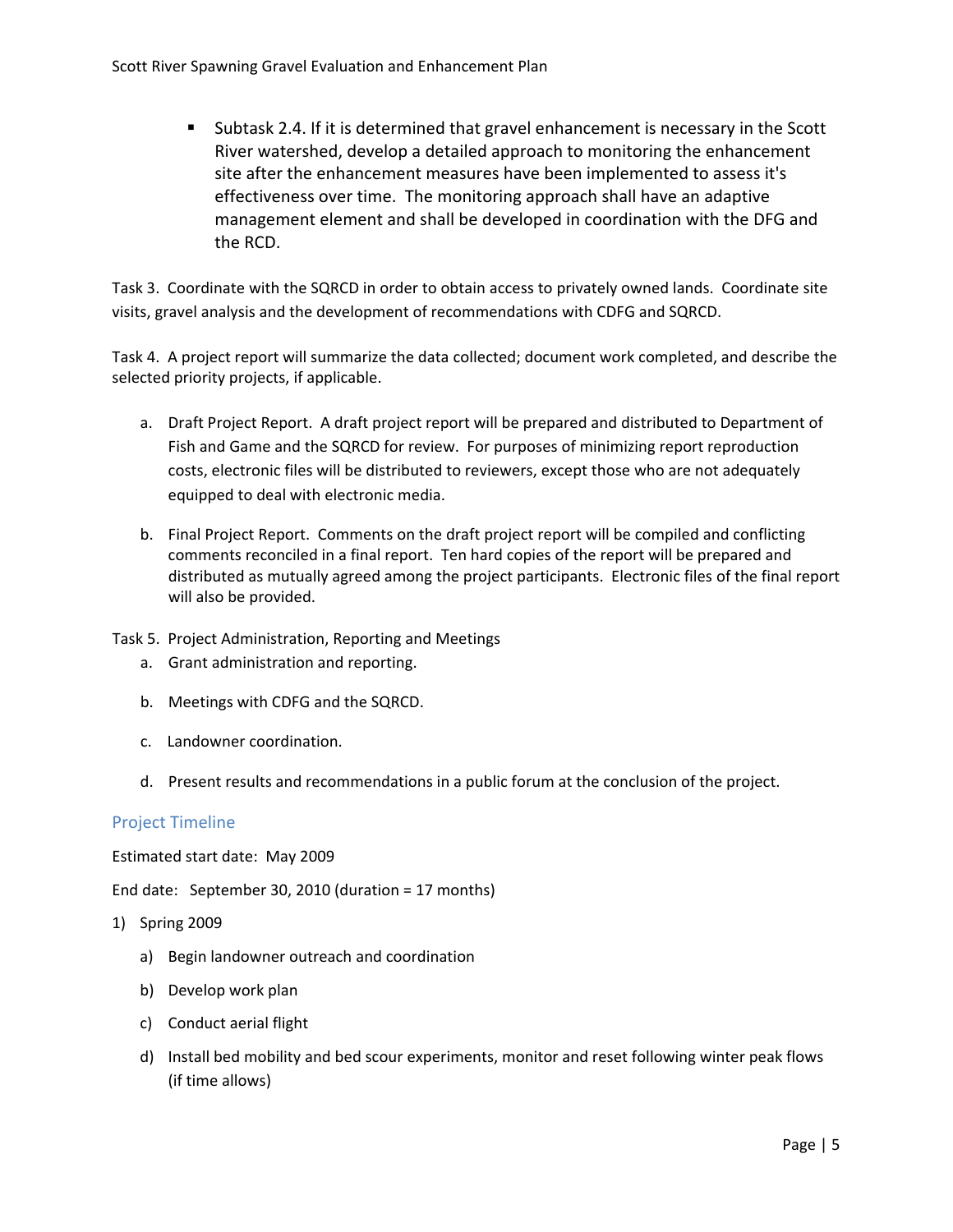<span id="page-6-0"></span> Subtask 2.4. If it is determined that gravel enhancement is necessary in the Scott River watershed, develop a detailed approach to monitoring the enhancement site after the enhancement measures have been implemented to assess it's effectiveness over time. The monitoring approach shall have an adaptive management element and shall be developed in coordination with the DFG and the RCD.

Task 3. Coordinate with the SQRCD in order to obtain access to privately owned lands. Coordinate site visits, gravel analysis and the development of recommendations with CDFG and SQRCD.

Task 4. A project report will summarize the data collected; document work completed, and describe the selected priority projects, if applicable.

- a. Draft Project Report. A draft project report will be prepared and distributed to Department of Fish and Game and the SQRCD for review. For purposes of minimizing report reproduction costs, electronic files will be distributed to reviewers, except those who are not adequately equipped to deal with electronic media.
- b. Final Project Report. Comments on the draft project report will be compiled and conflicting comments reconciled in a final report. Ten hard copies of the report will be prepared and distributed as mutually agreed among the project participants. Electronic files of the final report will also be provided.
- Task 5. Project Administration, Reporting and Meetings
	- a. Grant administration and reporting.
	- b. Meetings with CDFG and the SQRCD.
	- c. Landowner coordination.
	- d. Present results and recommendations in a public forum at the conclusion of the project.

## Project Timeline

Estimated start date: May 2009

End date: September 30, 2010 (duration = 17 months)

- 1) Spring 2009
	- a) Begin landowner outreach and coordination
	- b) Develop work plan
	- c) Conduct aerial flight
	- d) Install bed mobility and bed scour experiments, monitor and reset following winter peak flows (if time allows)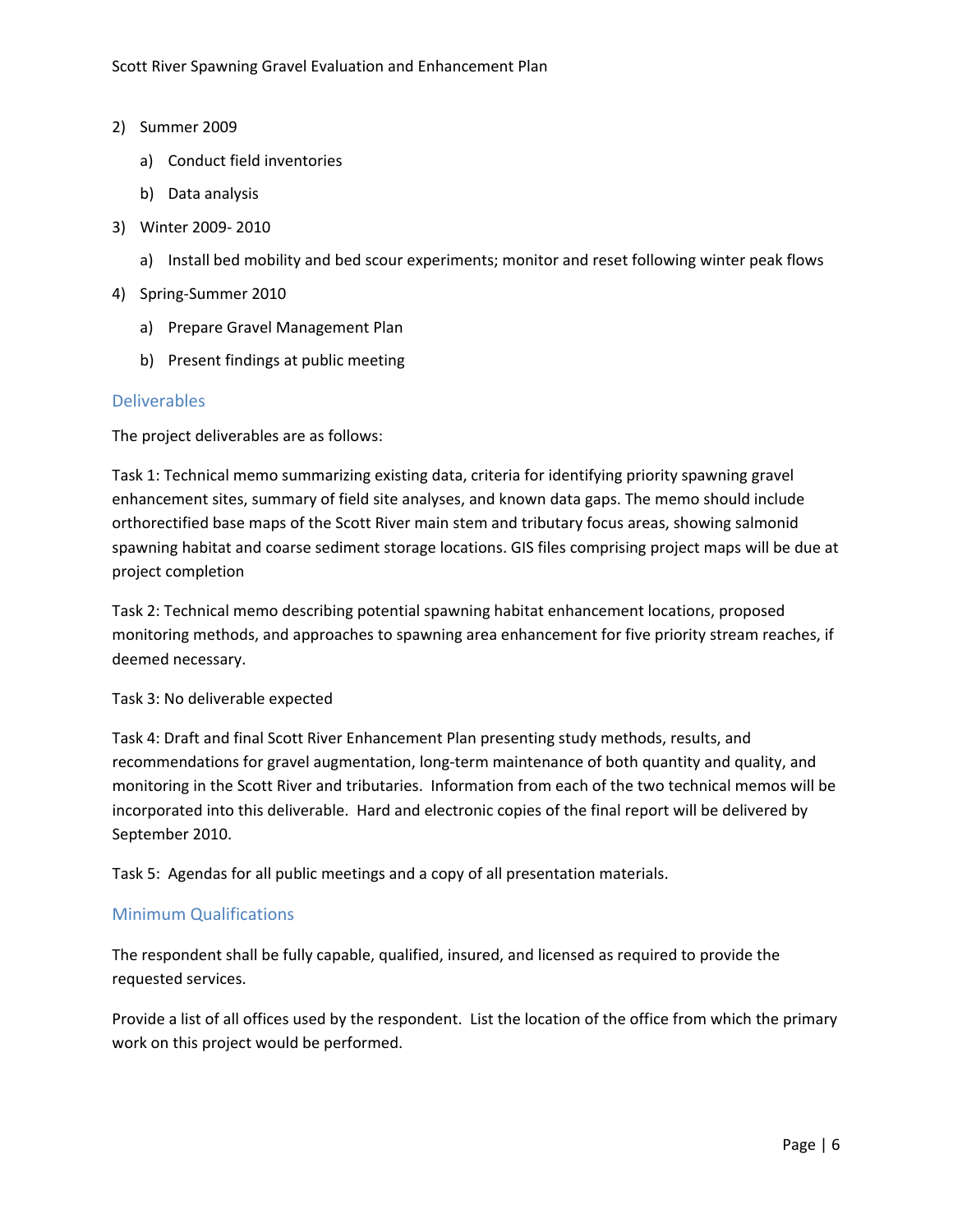#### <span id="page-7-0"></span>2) Summer 2009

- a) Conduct field inventories
- b) Data analysis
- 3) Winter 2009‐ 2010
	- a) Install bed mobility and bed scour experiments; monitor and reset following winter peak flows
- 4) Spring‐Summer 2010
	- a) Prepare Gravel Management Plan
	- b) Present findings at public meeting

#### Deliverables

The project deliverables are as follows:

Task 1: Technical memo summarizing existing data, criteria for identifying priority spawning gravel enhancement sites, summary of field site analyses, and known data gaps. The memo should include orthorectified base maps of the Scott River main stem and tributary focus areas, showing salmonid spawning habitat and coarse sediment storage locations. GIS files comprising project maps will be due at project completion

Task 2: Technical memo describing potential spawning habitat enhancement locations, proposed monitoring methods, and approaches to spawning area enhancement for five priority stream reaches, if deemed necessary.

#### Task 3: No deliverable expected

Task 4: Draft and final Scott River Enhancement Plan presenting study methods, results, and recommendations for gravel augmentation, long-term maintenance of both quantity and quality, and monitoring in the Scott River and tributaries. Information from each of the two technical memos will be incorporated into this deliverable. Hard and electronic copies of the final report will be delivered by September 2010.

Task 5: Agendas for all public meetings and a copy of all presentation materials.

## Minimum Qualifications

The respondent shall be fully capable, qualified, insured, and licensed as required to provide the requested services.

Provide a list of all offices used by the respondent. List the location of the office from which the primary work on this project would be performed.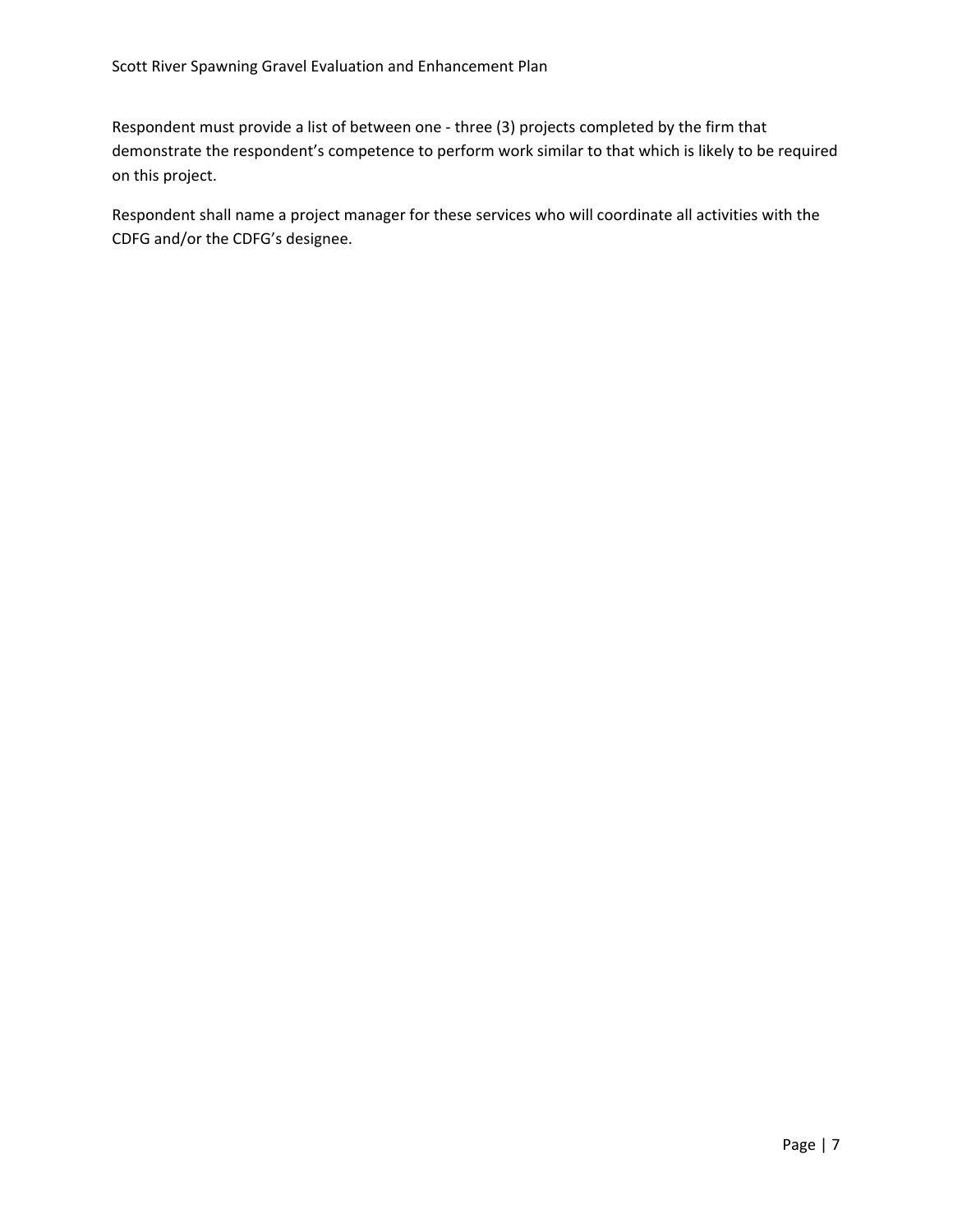Respondent must provide a list of between one ‐ three (3) projects completed by the firm that demonstrate the respondent's competence to perform work similar to that which is likely to be required on this project.

Respondent shall name a project manager for these services who will coordinate all activities with the CDFG and/or the CDFG's designee.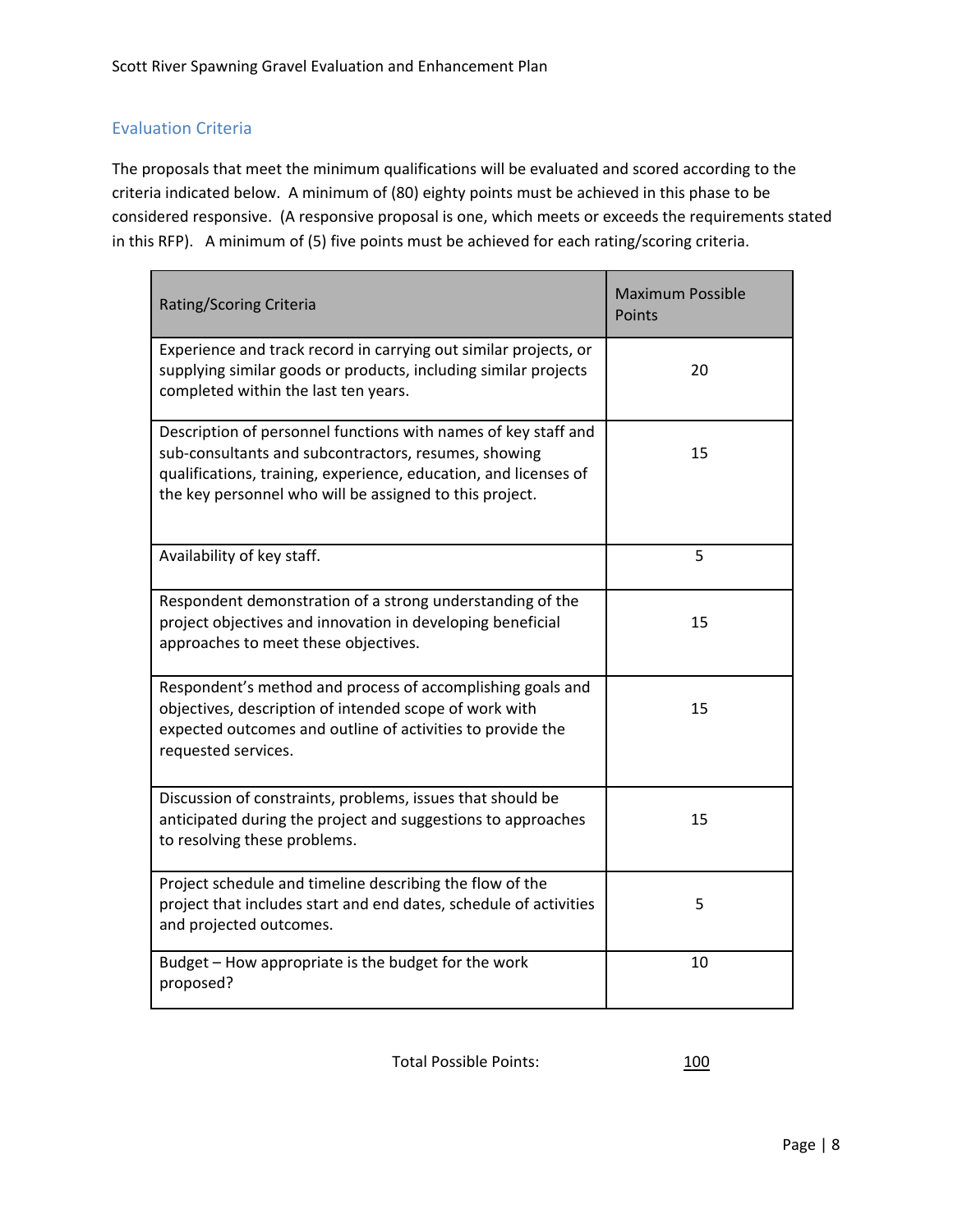## <span id="page-9-0"></span>Evaluation Criteria

The proposals that meet the minimum qualifications will be evaluated and scored according to the criteria indicated below. A minimum of (80) eighty points must be achieved in this phase to be considered responsive. (A responsive proposal is one, which meets or exceeds the requirements stated in this RFP). A minimum of (5) five points must be achieved for each rating/scoring criteria.

| Rating/Scoring Criteria                                                                                                                                                                                                                               | <b>Maximum Possible</b><br>Points |
|-------------------------------------------------------------------------------------------------------------------------------------------------------------------------------------------------------------------------------------------------------|-----------------------------------|
| Experience and track record in carrying out similar projects, or<br>supplying similar goods or products, including similar projects<br>completed within the last ten years.                                                                           | 20                                |
| Description of personnel functions with names of key staff and<br>sub-consultants and subcontractors, resumes, showing<br>qualifications, training, experience, education, and licenses of<br>the key personnel who will be assigned to this project. | 15                                |
| Availability of key staff.                                                                                                                                                                                                                            | 5                                 |
| Respondent demonstration of a strong understanding of the<br>project objectives and innovation in developing beneficial<br>approaches to meet these objectives.                                                                                       | 15                                |
| Respondent's method and process of accomplishing goals and<br>objectives, description of intended scope of work with<br>expected outcomes and outline of activities to provide the<br>requested services.                                             | 15                                |
| Discussion of constraints, problems, issues that should be<br>anticipated during the project and suggestions to approaches<br>to resolving these problems.                                                                                            | 15                                |
| Project schedule and timeline describing the flow of the<br>project that includes start and end dates, schedule of activities<br>and projected outcomes.                                                                                              | 5                                 |
| Budget - How appropriate is the budget for the work<br>proposed?                                                                                                                                                                                      | 10                                |

Total Possible Points: 100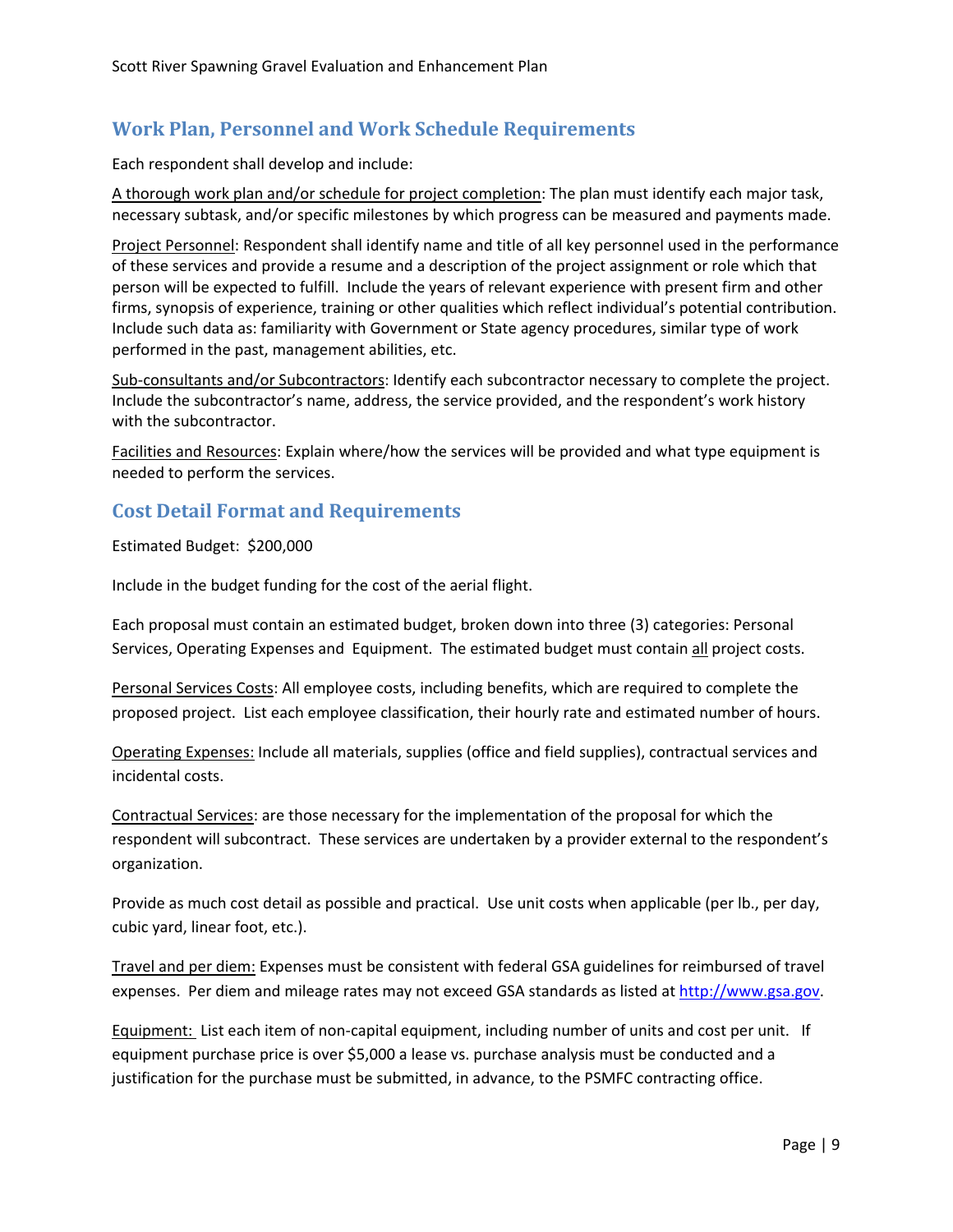## <span id="page-10-0"></span>**Work Plan, Personnel and Work Schedule Requirements**

Each respondent shall develop and include:

A thorough work plan and/or schedule for project completion: The plan must identify each major task, necessary subtask, and/or specific milestones by which progress can be measured and payments made.

Project Personnel: Respondent shall identify name and title of all key personnel used in the performance of these services and provide a resume and a description of the project assignment or role which that person will be expected to fulfill. Include the years of relevant experience with present firm and other firms, synopsis of experience, training or other qualities which reflect individual's potential contribution. Include such data as: familiarity with Government or State agency procedures, similar type of work performed in the past, management abilities, etc.

Sub‐consultants and/or Subcontractors: Identify each subcontractor necessary to complete the project. Include the subcontractor's name, address, the service provided, and the respondent's work history with the subcontractor.

Facilities and Resources: Explain where/how the services will be provided and what type equipment is needed to perform the services.

## **Cost Detail Format and Requirements**

Estimated Budget: \$200,000

Include in the budget funding for the cost of the aerial flight.

Each proposal must contain an estimated budget, broken down into three (3) categories: Personal Services, Operating Expenses and Equipment. The estimated budget must contain all project costs.

Personal Services Costs: All employee costs, including benefits, which are required to complete the proposed project. List each employee classification, their hourly rate and estimated number of hours.

Operating Expenses: Include all materials, supplies (office and field supplies), contractual services and incidental costs.

Contractual Services: are those necessary for the implementation of the proposal for which the respondent will subcontract. These services are undertaken by a provider external to the respondent's organization.

Provide as much cost detail as possible and practical. Use unit costs when applicable (per lb., per day, cubic yard, linear foot, etc.).

Travel and per diem: Expenses must be consistent with federal GSA guidelines for reimbursed of travel expenses. Per diem and mileage rates may not exceed GSA standards as listed at [http://www.gsa.gov.](http://www.gsa.gov/)

Equipment: List each item of non-capital equipment, including number of units and cost per unit. If equipment purchase price is over \$5,000 a lease vs. purchase analysis must be conducted and a justification for the purchase must be submitted, in advance, to the PSMFC contracting office.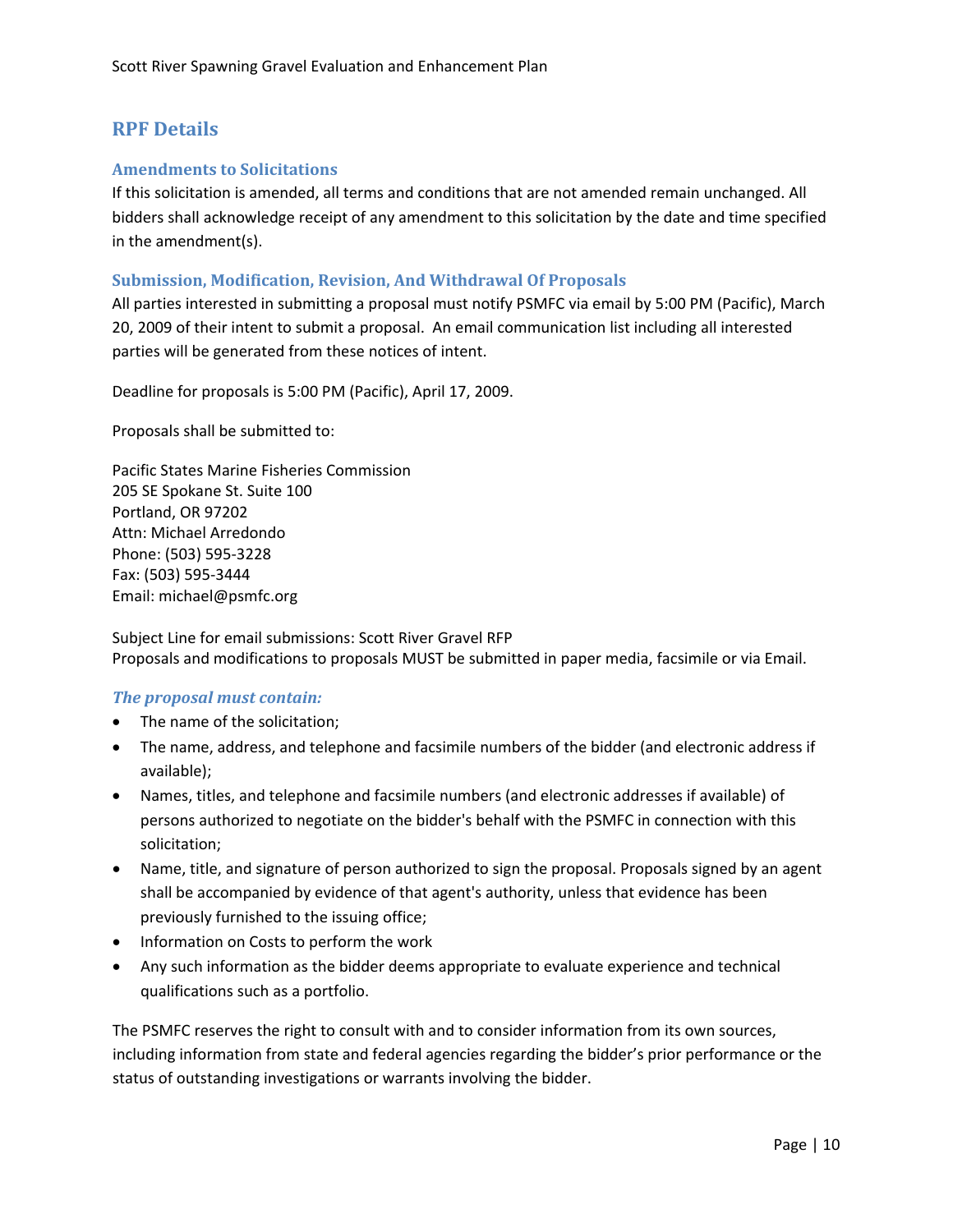## <span id="page-11-0"></span>**RPF Details**

## **Amendments to Solicitations**

If this solicitation is amended, all terms and conditions that are not amended remain unchanged. All bidders shall acknowledge receipt of any amendment to this solicitation by the date and time specified in the amendment(s).

#### **Submission, Modification, Revision, And Withdrawal Of Proposals**

All parties interested in submitting a proposal must notify PSMFC via email by 5:00 PM (Pacific), March 20, 2009 of their intent to submit a proposal. An email communication list including all interested parties will be generated from these notices of intent.

Deadline for proposals is 5:00 PM (Pacific), April 17, 2009.

Proposals shall be submitted to:

Pacific States Marine Fisheries Commission 205 SE Spokane St. Suite 100 Portland, OR 97202 Attn: Michael Arredondo Phone: (503) 595‐3228 Fax: (503) 595‐3444 Email: michael@psmfc.org

Subject Line for email submissions: Scott River Gravel RFP Proposals and modifications to proposals MUST be submitted in paper media, facsimile or via Email.

#### *The proposal must contain:*

- The name of the solicitation;
- The name, address, and telephone and facsimile numbers of the bidder (and electronic address if available);
- Names, titles, and telephone and facsimile numbers (and electronic addresses if available) of persons authorized to negotiate on the bidder's behalf with the PSMFC in connection with this solicitation;
- Name, title, and signature of person authorized to sign the proposal. Proposals signed by an agent shall be accompanied by evidence of that agent's authority, unless that evidence has been previously furnished to the issuing office;
- Information on Costs to perform the work
- Any such information as the bidder deems appropriate to evaluate experience and technical qualifications such as a portfolio.

The PSMFC reserves the right to consult with and to consider information from its own sources, including information from state and federal agencies regarding the bidder's prior performance or the status of outstanding investigations or warrants involving the bidder.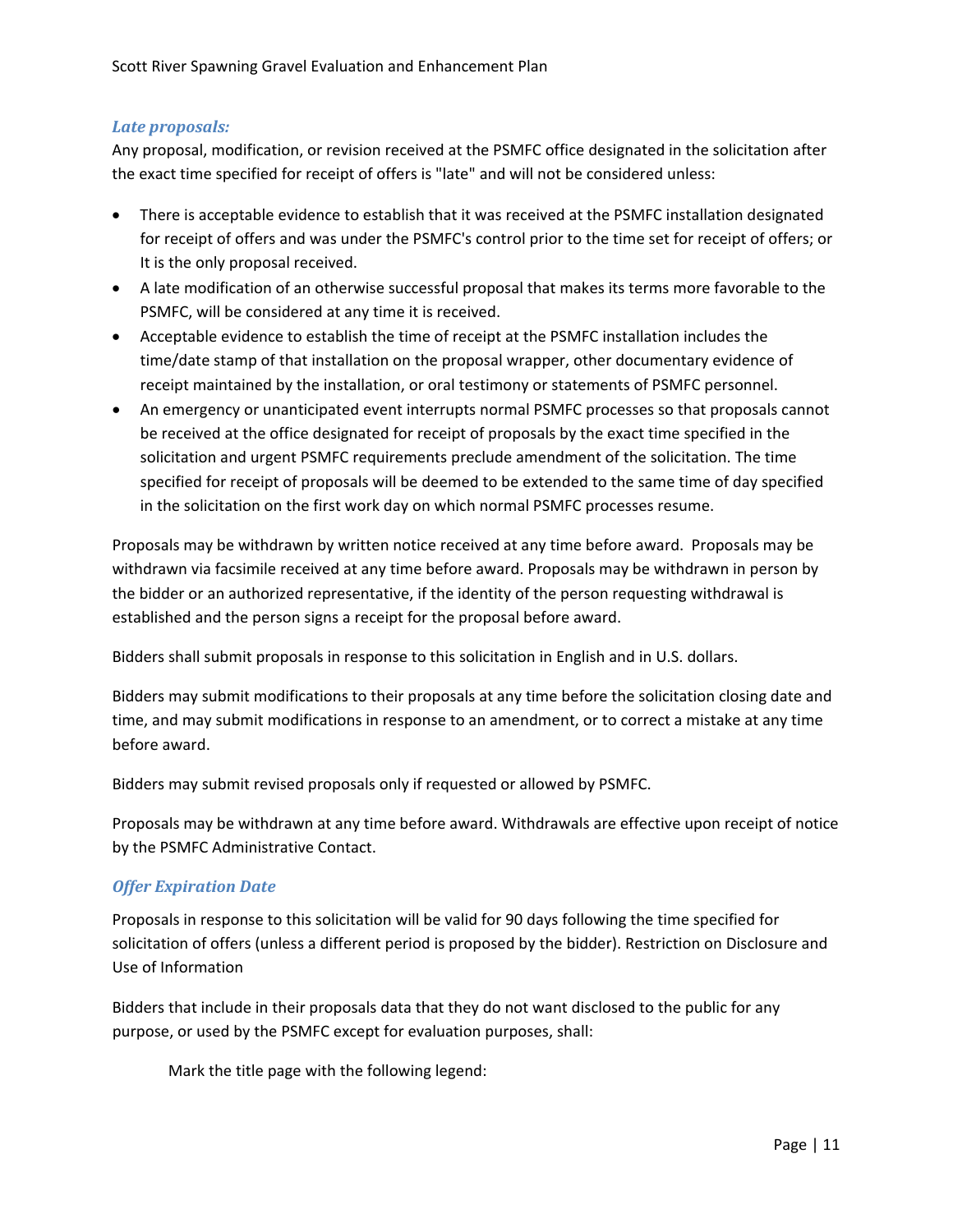## *Late proposals:*

Any proposal, modification, or revision received at the PSMFC office designated in the solicitation after the exact time specified for receipt of offers is "late" and will not be considered unless:

- There is acceptable evidence to establish that it was received at the PSMFC installation designated for receipt of offers and was under the PSMFC's control prior to the time set for receipt of offers; or It is the only proposal received.
- A late modification of an otherwise successful proposal that makes its terms more favorable to the PSMFC, will be considered at any time it is received.
- Acceptable evidence to establish the time of receipt at the PSMFC installation includes the time/date stamp of that installation on the proposal wrapper, other documentary evidence of receipt maintained by the installation, or oral testimony or statements of PSMFC personnel.
- An emergency or unanticipated event interrupts normal PSMFC processes so that proposals cannot be received at the office designated for receipt of proposals by the exact time specified in the solicitation and urgent PSMFC requirements preclude amendment of the solicitation. The time specified for receipt of proposals will be deemed to be extended to the same time of day specified in the solicitation on the first work day on which normal PSMFC processes resume.

Proposals may be withdrawn by written notice received at any time before award. Proposals may be withdrawn via facsimile received at any time before award. Proposals may be withdrawn in person by the bidder or an authorized representative, if the identity of the person requesting withdrawal is established and the person signs a receipt for the proposal before award.

Bidders shall submit proposals in response to this solicitation in English and in U.S. dollars.

Bidders may submit modifications to their proposals at any time before the solicitation closing date and time, and may submit modifications in response to an amendment, or to correct a mistake at any time before award.

Bidders may submit revised proposals only if requested or allowed by PSMFC.

Proposals may be withdrawn at any time before award. Withdrawals are effective upon receipt of notice by the PSMFC Administrative Contact.

## *Offer Expiration Date*

Proposals in response to this solicitation will be valid for 90 days following the time specified for solicitation of offers (unless a different period is proposed by the bidder). Restriction on Disclosure and Use of Information

Bidders that include in their proposals data that they do not want disclosed to the public for any purpose, or used by the PSMFC except for evaluation purposes, shall:

Mark the title page with the following legend: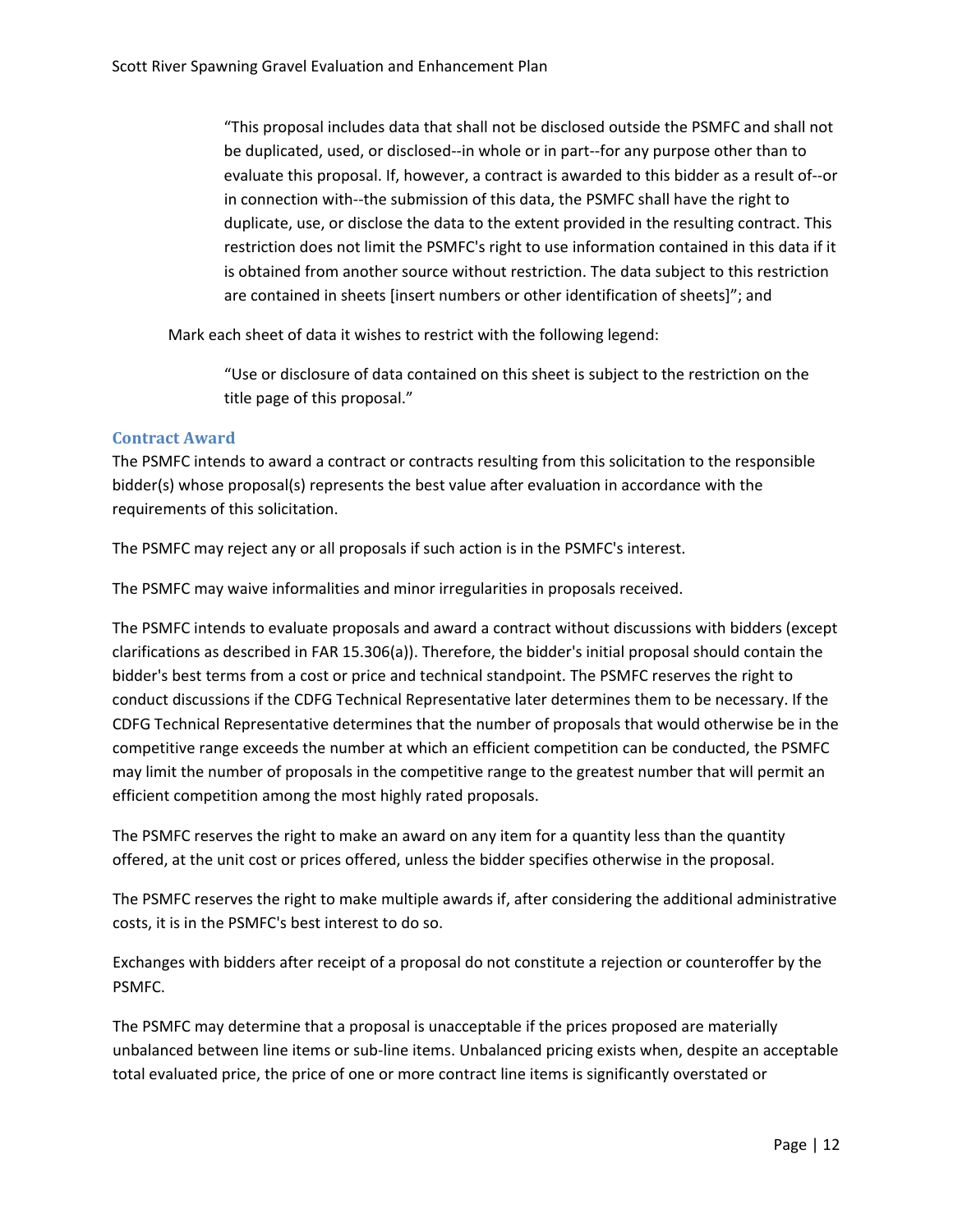<span id="page-13-0"></span>"This proposal includes data that shall not be disclosed outside the PSMFC and shall not be duplicated, used, or disclosed‐‐in whole or in part‐‐for any purpose other than to evaluate this proposal. If, however, a contract is awarded to this bidder as a result of‐‐or in connection with‐‐the submission of this data, the PSMFC shall have the right to duplicate, use, or disclose the data to the extent provided in the resulting contract. This restriction does not limit the PSMFC's right to use information contained in this data if it is obtained from another source without restriction. The data subject to this restriction are contained in sheets [insert numbers or other identification of sheets]"; and

Mark each sheet of data it wishes to restrict with the following legend:

"Use or disclosure of data contained on this sheet is subject to the restriction on the title page of this proposal."

#### **Contract Award**

The PSMFC intends to award a contract or contracts resulting from this solicitation to the responsible bidder(s) whose proposal(s) represents the best value after evaluation in accordance with the requirements of this solicitation.

The PSMFC may reject any or all proposals if such action is in the PSMFC's interest.

The PSMFC may waive informalities and minor irregularities in proposals received.

The PSMFC intends to evaluate proposals and award a contract without discussions with bidders (except clarifications as described in FAR 15.306(a)). Therefore, the bidder's initial proposal should contain the bidder's best terms from a cost or price and technical standpoint. The PSMFC reserves the right to conduct discussions if the CDFG Technical Representative later determines them to be necessary. If the CDFG Technical Representative determines that the number of proposals that would otherwise be in the competitive range exceeds the number at which an efficient competition can be conducted, the PSMFC may limit the number of proposals in the competitive range to the greatest number that will permit an efficient competition among the most highly rated proposals.

The PSMFC reserves the right to make an award on any item for a quantity less than the quantity offered, at the unit cost or prices offered, unless the bidder specifies otherwise in the proposal.

The PSMFC reserves the right to make multiple awards if, after considering the additional administrative costs, it is in the PSMFC's best interest to do so.

Exchanges with bidders after receipt of a proposal do not constitute a rejection or counteroffer by the PSMFC.

The PSMFC may determine that a proposal is unacceptable if the prices proposed are materially unbalanced between line items or sub‐line items. Unbalanced pricing exists when, despite an acceptable total evaluated price, the price of one or more contract line items is significantly overstated or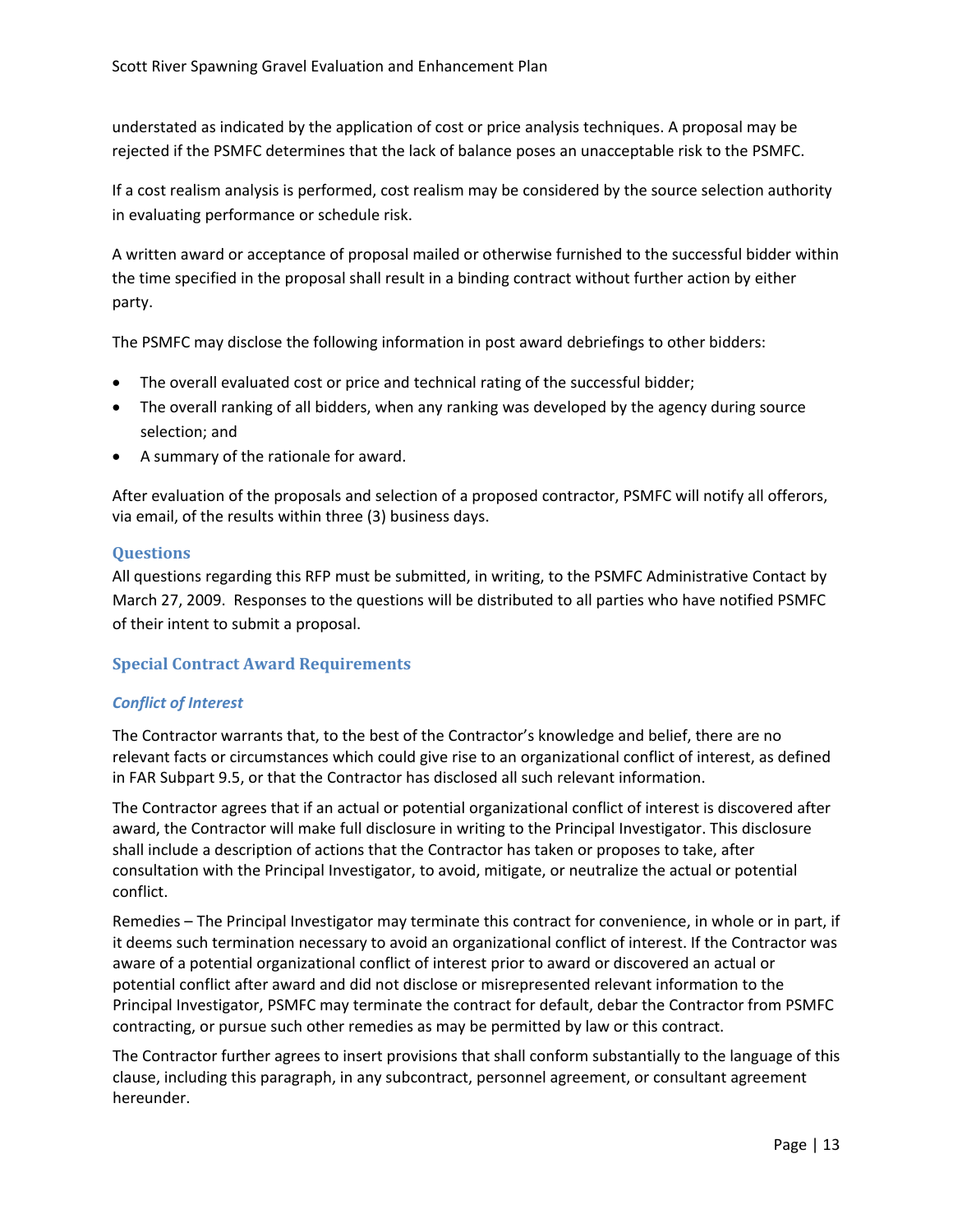<span id="page-14-0"></span>understated as indicated by the application of cost or price analysis techniques. A proposal may be rejected if the PSMFC determines that the lack of balance poses an unacceptable risk to the PSMFC.

If a cost realism analysis is performed, cost realism may be considered by the source selection authority in evaluating performance or schedule risk.

A written award or acceptance of proposal mailed or otherwise furnished to the successful bidder within the time specified in the proposal shall result in a binding contract without further action by either party.

The PSMFC may disclose the following information in post award debriefings to other bidders:

- The overall evaluated cost or price and technical rating of the successful bidder;
- The overall ranking of all bidders, when any ranking was developed by the agency during source selection; and
- A summary of the rationale for award.

After evaluation of the proposals and selection of a proposed contractor, PSMFC will notify all offerors, via email, of the results within three (3) business days.

#### **Questions**

All questions regarding this RFP must be submitted, in writing, to the PSMFC Administrative Contact by March 27, 2009. Responses to the questions will be distributed to all parties who have notified PSMFC of their intent to submit a proposal.

#### **Special Contract Award Requirements**

#### *Conflict of Interest*

The Contractor warrants that, to the best of the Contractor's knowledge and belief, there are no relevant facts or circumstances which could give rise to an organizational conflict of interest, as defined in FAR Subpart 9.5, or that the Contractor has disclosed all such relevant information.

The Contractor agrees that if an actual or potential organizational conflict of interest is discovered after award, the Contractor will make full disclosure in writing to the Principal Investigator. This disclosure shall include a description of actions that the Contractor has taken or proposes to take, after consultation with the Principal Investigator, to avoid, mitigate, or neutralize the actual or potential conflict.

Remedies – The Principal Investigator may terminate this contract for convenience, in whole or in part, if it deems such termination necessary to avoid an organizational conflict of interest. If the Contractor was aware of a potential organizational conflict of interest prior to award or discovered an actual or potential conflict after award and did not disclose or misrepresented relevant information to the Principal Investigator, PSMFC may terminate the contract for default, debar the Contractor from PSMFC contracting, or pursue such other remedies as may be permitted by law or this contract.

The Contractor further agrees to insert provisions that shall conform substantially to the language of this clause, including this paragraph, in any subcontract, personnel agreement, or consultant agreement hereunder.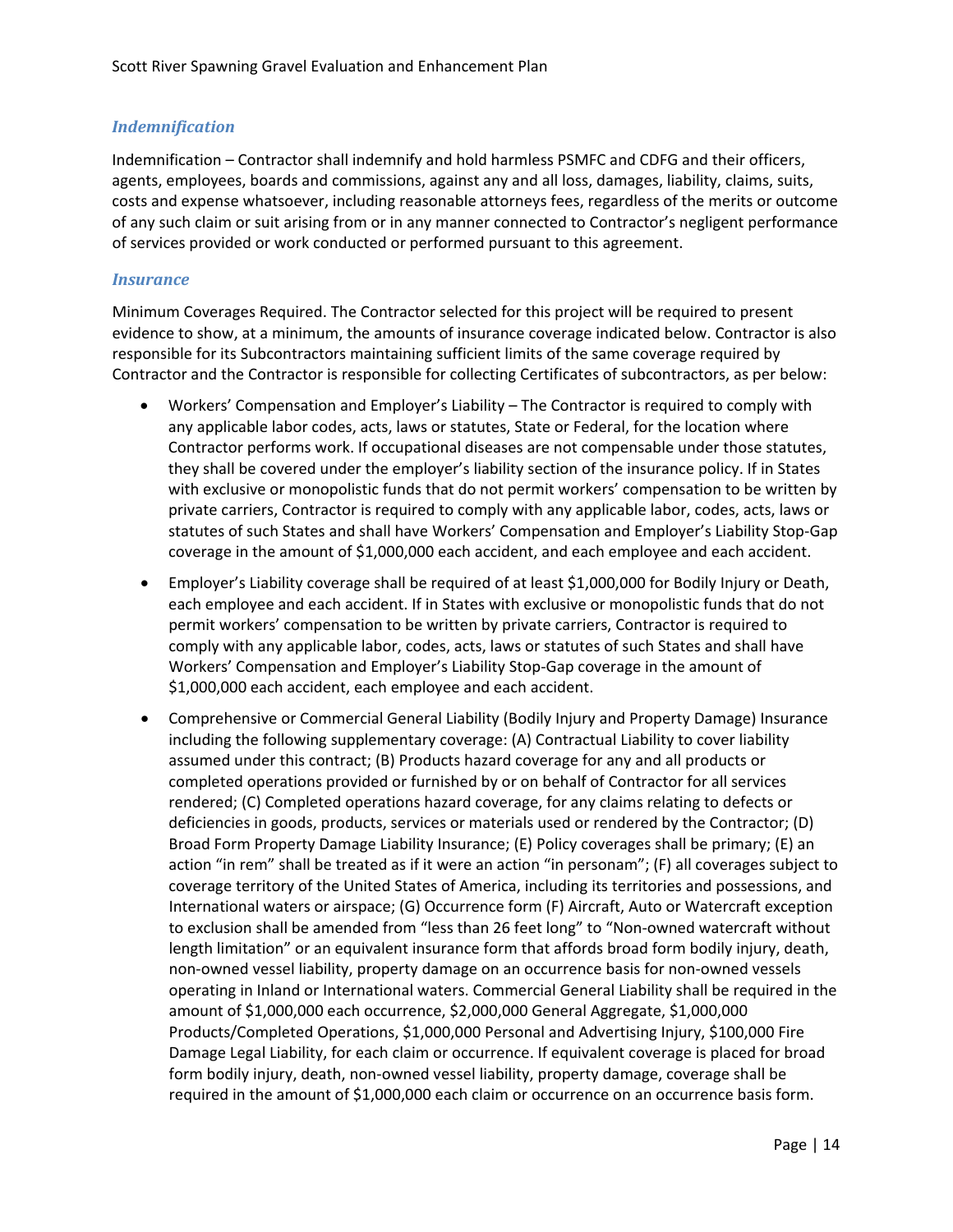## *Indemnification*

Indemnification – Contractor shall indemnify and hold harmless PSMFC and CDFG and their officers, agents, employees, boards and commissions, against any and all loss, damages, liability, claims, suits, costs and expense whatsoever, including reasonable attorneys fees, regardless of the merits or outcome of any such claim or suit arising from or in any manner connected to Contractor's negligent performance of services provided or work conducted or performed pursuant to this agreement.

#### *Insurance*

Minimum Coverages Required. The Contractor selected for this project will be required to present evidence to show, at a minimum, the amounts of insurance coverage indicated below. Contractor is also responsible for its Subcontractors maintaining sufficient limits of the same coverage required by Contractor and the Contractor is responsible for collecting Certificates of subcontractors, as per below:

- Workers' Compensation and Employer's Liability The Contractor is required to comply with any applicable labor codes, acts, laws or statutes, State or Federal, for the location where Contractor performs work. If occupational diseases are not compensable under those statutes, they shall be covered under the employer's liability section of the insurance policy. If in States with exclusive or monopolistic funds that do not permit workers' compensation to be written by private carriers, Contractor is required to comply with any applicable labor, codes, acts, laws or statutes of such States and shall have Workers' Compensation and Employer's Liability Stop‐Gap coverage in the amount of \$1,000,000 each accident, and each employee and each accident.
- Employer's Liability coverage shall be required of at least \$1,000,000 for Bodily Injury or Death, each employee and each accident. If in States with exclusive or monopolistic funds that do not permit workers' compensation to be written by private carriers, Contractor is required to comply with any applicable labor, codes, acts, laws or statutes of such States and shall have Workers' Compensation and Employer's Liability Stop‐Gap coverage in the amount of \$1,000,000 each accident, each employee and each accident.
- Comprehensive or Commercial General Liability (Bodily Injury and Property Damage) Insurance including the following supplementary coverage: (A) Contractual Liability to cover liability assumed under this contract; (B) Products hazard coverage for any and all products or completed operations provided or furnished by or on behalf of Contractor for all services rendered; (C) Completed operations hazard coverage, for any claims relating to defects or deficiencies in goods, products, services or materials used or rendered by the Contractor; (D) Broad Form Property Damage Liability Insurance; (E) Policy coverages shall be primary; (E) an action "in rem" shall be treated as if it were an action "in personam"; (F) all coverages subject to coverage territory of the United States of America, including its territories and possessions, and International waters or airspace; (G) Occurrence form (F) Aircraft, Auto or Watercraft exception to exclusion shall be amended from "less than 26 feet long" to "Non-owned watercraft without length limitation" or an equivalent insurance form that affords broad form bodily injury, death, non‐owned vessel liability, property damage on an occurrence basis for non‐owned vessels operating in Inland or International waters. Commercial General Liability shall be required in the amount of \$1,000,000 each occurrence, \$2,000,000 General Aggregate, \$1,000,000 Products/Completed Operations, \$1,000,000 Personal and Advertising Injury, \$100,000 Fire Damage Legal Liability, for each claim or occurrence. If equivalent coverage is placed for broad form bodily injury, death, non-owned vessel liability, property damage, coverage shall be required in the amount of \$1,000,000 each claim or occurrence on an occurrence basis form.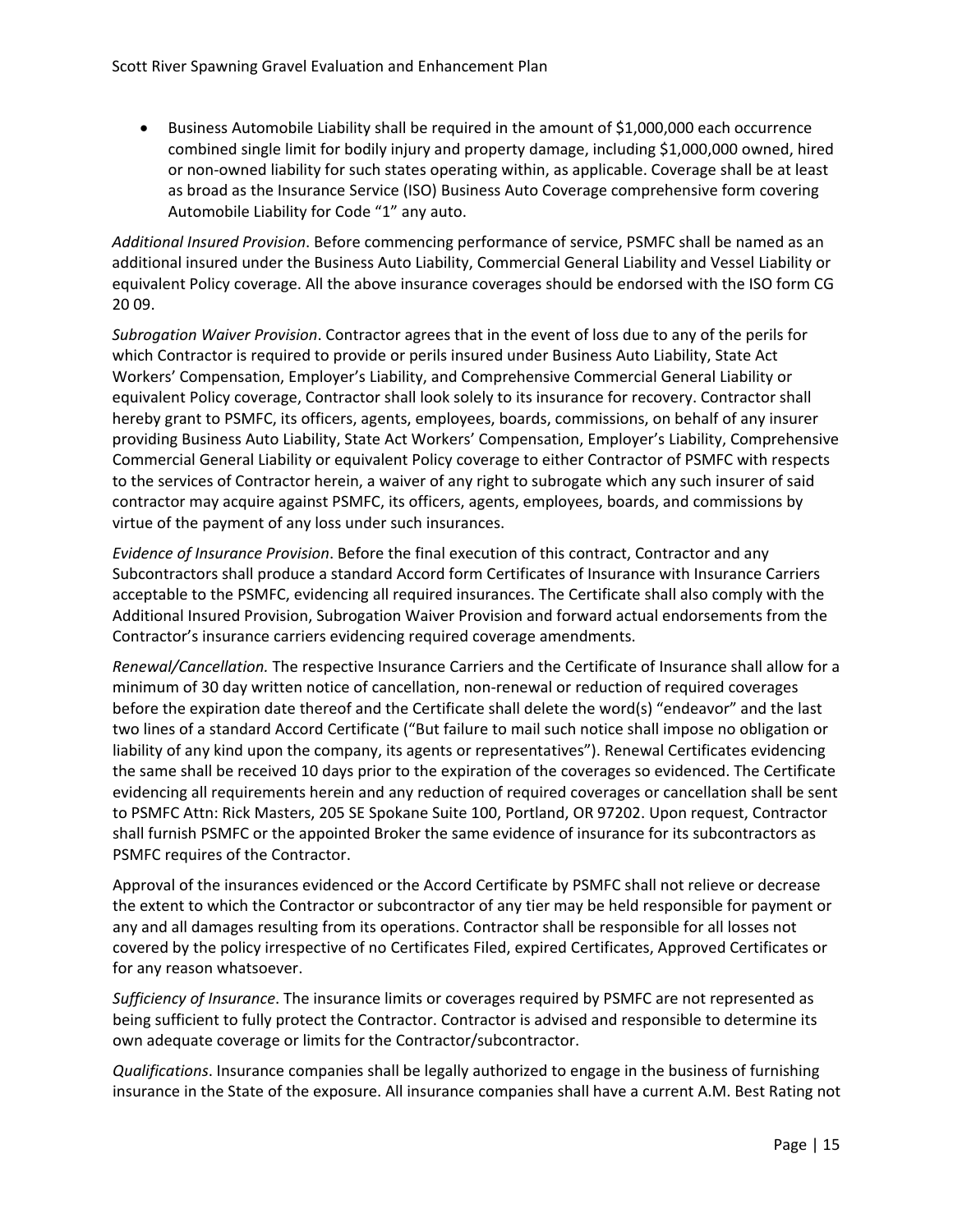• Business Automobile Liability shall be required in the amount of \$1,000,000 each occurrence combined single limit for bodily injury and property damage, including \$1,000,000 owned, hired or non‐owned liability for such states operating within, as applicable. Coverage shall be at least as broad as the Insurance Service (ISO) Business Auto Coverage comprehensive form covering Automobile Liability for Code "1" any auto.

*Additional Insured Provision*. Before commencing performance of service, PSMFC shall be named as an additional insured under the Business Auto Liability, Commercial General Liability and Vessel Liability or equivalent Policy coverage. All the above insurance coverages should be endorsed with the ISO form CG 20 09.

*Subrogation Waiver Provision*. Contractor agrees that in the event of loss due to any of the perils for which Contractor is required to provide or perils insured under Business Auto Liability, State Act Workers' Compensation, Employer's Liability, and Comprehensive Commercial General Liability or equivalent Policy coverage, Contractor shall look solely to its insurance for recovery. Contractor shall hereby grant to PSMFC, its officers, agents, employees, boards, commissions, on behalf of any insurer providing Business Auto Liability, State Act Workers' Compensation, Employer's Liability, Comprehensive Commercial General Liability or equivalent Policy coverage to either Contractor of PSMFC with respects to the services of Contractor herein, a waiver of any right to subrogate which any such insurer of said contractor may acquire against PSMFC, its officers, agents, employees, boards, and commissions by virtue of the payment of any loss under such insurances.

*Evidence of Insurance Provision*. Before the final execution of this contract, Contractor and any Subcontractors shall produce a standard Accord form Certificates of Insurance with Insurance Carriers acceptable to the PSMFC, evidencing all required insurances. The Certificate shall also comply with the Additional Insured Provision, Subrogation Waiver Provision and forward actual endorsements from the Contractor's insurance carriers evidencing required coverage amendments.

*Renewal/Cancellation.* The respective Insurance Carriers and the Certificate of Insurance shall allow for a minimum of 30 day written notice of cancellation, non‐renewal or reduction of required coverages before the expiration date thereof and the Certificate shall delete the word(s) "endeavor" and the last two lines of a standard Accord Certificate ("But failure to mail such notice shall impose no obligation or liability of any kind upon the company, its agents or representatives"). Renewal Certificates evidencing the same shall be received 10 days prior to the expiration of the coverages so evidenced. The Certificate evidencing all requirements herein and any reduction of required coverages or cancellation shall be sent to PSMFC Attn: Rick Masters, 205 SE Spokane Suite 100, Portland, OR 97202. Upon request, Contractor shall furnish PSMFC or the appointed Broker the same evidence of insurance for its subcontractors as PSMFC requires of the Contractor.

Approval of the insurances evidenced or the Accord Certificate by PSMFC shall not relieve or decrease the extent to which the Contractor or subcontractor of any tier may be held responsible for payment or any and all damages resulting from its operations. Contractor shall be responsible for all losses not covered by the policy irrespective of no Certificates Filed, expired Certificates, Approved Certificates or for any reason whatsoever.

*Sufficiency of Insurance*. The insurance limits or coverages required by PSMFC are not represented as being sufficient to fully protect the Contractor. Contractor is advised and responsible to determine its own adequate coverage or limits for the Contractor/subcontractor.

*Qualifications*. Insurance companies shall be legally authorized to engage in the business of furnishing insurance in the State of the exposure. All insurance companies shall have a current A.M. Best Rating not